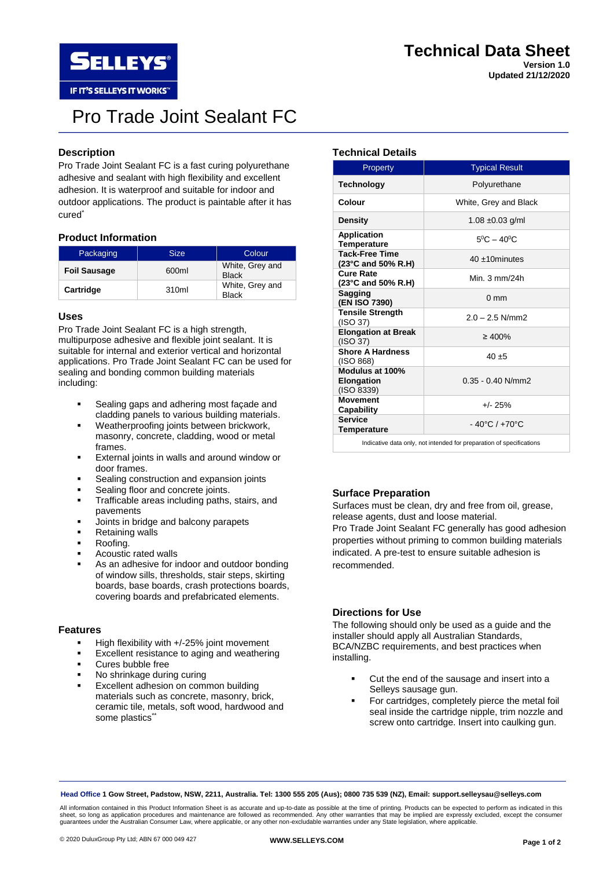

**Updated 21/12/2020**

**SELLEYS** IF IT'S SELLEYS IT WORKS"

# Pro Trade Joint Sealant FC

## **Description**

Pro Trade Joint Sealant FC is a fast curing polyurethane adhesive and sealant with high flexibility and excellent adhesion. It is waterproof and suitable for indoor and outdoor applications. The product is paintable after it has cured<sup>\*</sup>

## **Product Information**

| Packaging           | <b>Size</b> | Colour                          |  |
|---------------------|-------------|---------------------------------|--|
| <b>Foil Sausage</b> | 600ml       | White, Grey and<br><b>Black</b> |  |
| Cartridge           | 310ml       | White, Grey and<br><b>Black</b> |  |

## **Uses**

Pro Trade Joint Sealant FC is a high strength, multipurpose adhesive and flexible joint sealant. It is suitable for internal and exterior vertical and horizontal applications. Pro Trade Joint Sealant FC can be used for sealing and bonding common building materials including:

- Sealing gaps and adhering most façade and cladding panels to various building materials.
- Weatherproofing joints between brickwork, masonry, concrete, cladding, wood or metal frames.
- External joints in walls and around window or door frames.
- Sealing construction and expansion joints
- Sealing floor and concrete joints.
- **·** Trafficable areas including paths, stairs, and pavements
- Joints in bridge and balcony parapets
- **Retaining walls**
- Roofing.
- Acoustic rated walls
- As an adhesive for indoor and outdoor bonding of window sills, thresholds, stair steps, skirting boards, base boards, crash protections boards, covering boards and prefabricated elements.

## **Features**

- High flexibility with +/-25% joint movement
- Excellent resistance to aging and weathering
- Cures bubble free
- No shrinkage during curing
- Excellent adhesion on common building materials such as concrete, masonry, brick, ceramic tile, metals, soft wood, hardwood and some plastics\*\*

## **Technical Details**

| Property                                           | <b>Typical Result</b>             |  |  |
|----------------------------------------------------|-----------------------------------|--|--|
| <b>Technology</b>                                  | Polyurethane                      |  |  |
| Colour                                             | White, Grey and Black             |  |  |
| <b>Density</b>                                     | $1.08 \pm 0.03$ g/ml              |  |  |
| <b>Application</b><br>Temperature                  | $5^0C - 40^0C$                    |  |  |
| <b>Tack-Free Time</b><br>(23°C and 50% R.H)        | $40 + 10$ minutes                 |  |  |
| <b>Cure Rate</b><br>(23°C and 50% R.H)             | Min. 3 mm/24h                     |  |  |
| <b>Sagging</b><br>(EN ISO 7390)                    | $0 \text{ mm}$                    |  |  |
| <b>Tensile Strength</b><br>(ISO 37)                | $2.0 - 2.5$ N/mm2                 |  |  |
| <b>Elongation at Break</b><br>(ISO 37)             | $\geq 400\%$                      |  |  |
| <b>Shore A Hardness</b><br>(ISO 868)               | $40 + 5$                          |  |  |
| Modulus at 100%<br><b>Elongation</b><br>(ISO 8339) | $0.35 - 0.40$ N/mm2               |  |  |
| <b>Movement</b><br>Capability                      | $+/- 25%$                         |  |  |
| <b>Service</b><br><b>Temperature</b>               | $-40^{\circ}$ C / $+70^{\circ}$ C |  |  |

Indicative data only, not intended for preparation of specifications

## **Surface Preparation**

Surfaces must be clean, dry and free from oil, grease, release agents, dust and loose material. Pro Trade Joint Sealant FC generally has good adhesion properties without priming to common building materials indicated. A pre-test to ensure suitable adhesion is recommended.

## **Directions for Use**

The following should only be used as a guide and the installer should apply all Australian Standards, BCA/NZBC requirements, and best practices when installing.

- Cut the end of the sausage and insert into a Selleys sausage gun.
- For cartridges, completely pierce the metal foil seal inside the cartridge nipple, trim nozzle and screw onto cartridge. Insert into caulking gun.

**Head Office 1 Gow Street, Padstow, NSW, 2211, Australia. Tel: 1300 555 205 (Aus); 0800 735 539 (NZ), Email: support.selleysau@selleys.com**

All information contained in this Product Information Sheet is as accurate and up-to-date as possible at the time of printing. Products can be expected to perform as indicated in this sheet, so long as application procedures and maintenance are followed as recommended. Any other warranties that may be implied are expressly excluded, except the consumer guarantees under the Australian Consumer Law, where applicable, or any other non-excludable warranties under any State legislation, where applicable.